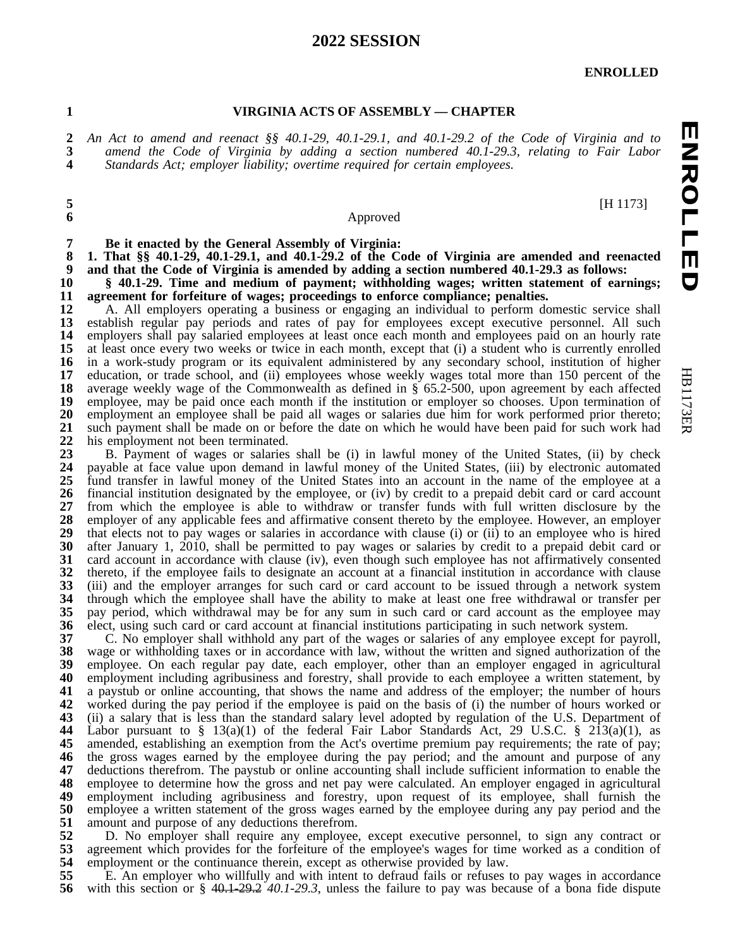# **SESSION**

### **ENROLLED**

### **VIRGINIA ACTS OF ASSEMBLY –– CHAPTER**

2 An Act to amend and reenact §§ 40.1-29, 40.1-29.1, and 40.1-29.2 of the Code of Virginia and to *amend the Code of Virginia by adding a section numbered 40.1-29.3, relating to Fair Labor Standards Act; employer liability; overtime required for certain employees.*

## Approved

[H 1173]

**Be it enacted by the General Assembly of Virginia:**

**1. That §§ 40.1-29, 40.1-29.1, and 40.1-29.2 of the Code of Virginia are amended and reenacted**

 **and that the Code of Virginia is amended by adding a section numbered 40.1-29.3 as follows: § 40.1-29. Time and medium of payment; withholding wages; written statement of earnings; agreement for forfeiture of wages; proceedings to enforce compliance; penalties.**

 A. All employers operating a business or engaging an individual to perform domestic service shall 13 establish regular pay periods and rates of pay for employees except executive personnel. All such employers shall pay salaried employees at least once each month and employees paid on an hourly rate employers shall pay salaried employees at least once each month and employees paid on an hourly rate **15** at least once every two weeks or twice in each month, except that (i) a student who is currently enrolled at least once every two weeks or twice in each month, except that (i) a student who is currently enrolled <br>**16** in a work-study program or its equivalent administered by any secondary school, institution of higher in a work-study program or its equivalent administered by any secondary school, institution of higher education, or trade school, and (ii) employees whose weekly wages total more than 150 percent of the average weekly wage of the Commonwealth as defined in § 65.2-500, upon agreement by each affected **19** employee, may be paid once each month if the institution or employer so chooses. Upon termination of employee, may be paid once each month if the institution or employer so chooses. Upon termination of **20** employment an employee shall be paid all wages or salaries due him for work performed prior thereto; employment an employee shall be paid all wages or salaries due him for work performed prior thereto;<br>**21** such payment shall be made on or before the date on which he would have been paid for such work had 21 such payment shall be made on or before the date on which he would have been paid for such work had his employment not been terminated. 22 his employment not been terminated.<br>23 B. Payment of wages or salaries

 B. Payment of wages or salaries shall be (i) in lawful money of the United States, (ii) by check payable at face value upon demand in lawful money of the United States, (iii) by electronic automated fund transfer in lawful money of the United States into an account in the name of the employee at a **26** financial institution designated by the employee, or (iv) by credit to a prepaid debit card or card account financial institution designated by the employee, or (iv) by credit to a prepaid debit card or card account **27** from which the employee is able to withdraw or transfer funds with full written disclosure by the from which the employee is able to withdraw or transfer funds with full written disclosure by the employer of any applicable fees and affirmative consent thereto by the employee. However, an employer employer of any applicable fees and affirmative consent thereto by the employee. However, an employer that elects not to pay wages or salaries in accordance with clause (i) or (ii) to an employee who is hired that elects not to pay wages or salaries in accordance with clause (i) or (ii) to an employee who is hired **30** after January 1, 2010, shall be permitted to pay wages or salaries by credit to a prepaid debit card or after January 1, 2010, shall be permitted to pay wages or salaries by credit to a prepaid debit card or card account in accordance with clause (iv), even though such employee has not affirmatively consented card account in accordance with clause (iv), even though such employee has not affirmatively consented thereto, if the employee fails to designate an account at a financial institution in accordance with clause thereto, if the employee fails to designate an account at a financial institution in accordance with clause **33** (iii) and the employer arranges for such card or card account to be issued through a network system (iii) and the employer arranges for such card or card account to be issued through a network system through which the employee shall have the ability to make at least one free withdrawal or transfer per pay period, which withdrawal may be for any sum in such card or card account as the employee may pay period, which withdrawal may be for any sum in such card or card account as the employee may elect, using such card or card account at financial institutions participating in such network system. elect, using such card or card account at financial institutions participating in such network system.<br>**37** C. No employer shall withhold any part of the wages or salaries of any employee except for particle

 C. No employer shall withhold any part of the wages or salaries of any employee except for payroll, **38** wage or withholding taxes or in accordance with law, without the written and signed authorization of the wage or withholding taxes or in accordance with law, without the written and signed authorization of the employee. On each regular pay date, each employer, other than an employer engaged in agricultural employment including agribusiness and forestry, shall provide to each employee a written statement, by employment including agribusiness and forestry, shall provide to each employee a written statement, by a paystub or online accounting, that shows the name and address of the employer; the number of hours a paystub or online accounting, that shows the name and address of the employer; the number of hours 42 worked during the pay period if the employee is paid on the basis of (i) the number of hours worked or 43 (ii) a salary that is less than the standard salary level adopted by regulation of the U.S. Department of (ii) a salary that is less than the standard salary level adopted by regulation of the U.S. Department of Labor pursuant to § 13(a)(1) of the federal Fair Labor Standards Act, 29 U.S.C. § 21(a)(1), as amended, establishing an exemption from the Act's overtime premium pay requirements; the rate of pay; amended, establishing an exemption from the Act's overtime premium pay requirements; the rate of pay; **46** the gross wages earned by the employee during the pay period; and the amount and purpose of any the gross wages earned by the employee during the pay period; and the amount and purpose of any deductions therefrom. The paystub or online accounting shall include sufficient information to enable the deductions therefrom. The paystub or online accounting shall include sufficient information to enable the employee to determine how the gross and net pay were calculated. An employer engaged in agricultural employee to determine how the gross and net pay were calculated. An employer engaged in agricultural **49** employment including agribusiness and forestry, upon request of its employee, shall furnish the employment including agribusiness and forestry, upon request of its employee, shall furnish the employee a written statement of the gross wages earned by the employee during any pay period and the employee a written statement of the gross wages earned by the employee during any pay period and the amount and purpose of any deductions therefrom.<br>**52** D. No employer shall require any employee,

52 D. No employer shall require any employee, except executive personnel, to sign any contract or 53 agreement which provides for the forfeiture of the employee's wages for time worked as a condition of agreement which provides for the forfeiture of the employee's wages for time worked as a condition of employment or the continuance therein, except as otherwise provided by law. **54** employment or the continuance therein, except as otherwise provided by law.<br>**55** E. An employer who willfully and with intent to defraud fails or refuses to

 E. An employer who willfully and with intent to defraud fails or refuses to pay wages in accordance **56** with this section or § 40.1-29.2 40.1-29.3, unless the failure to pay was because of a bona fide dispute with this section or § 40.1-29.2 40.1-29.3, unless the failure to pay was because of a bona fide dispute HB1173ER

**HB1173ER**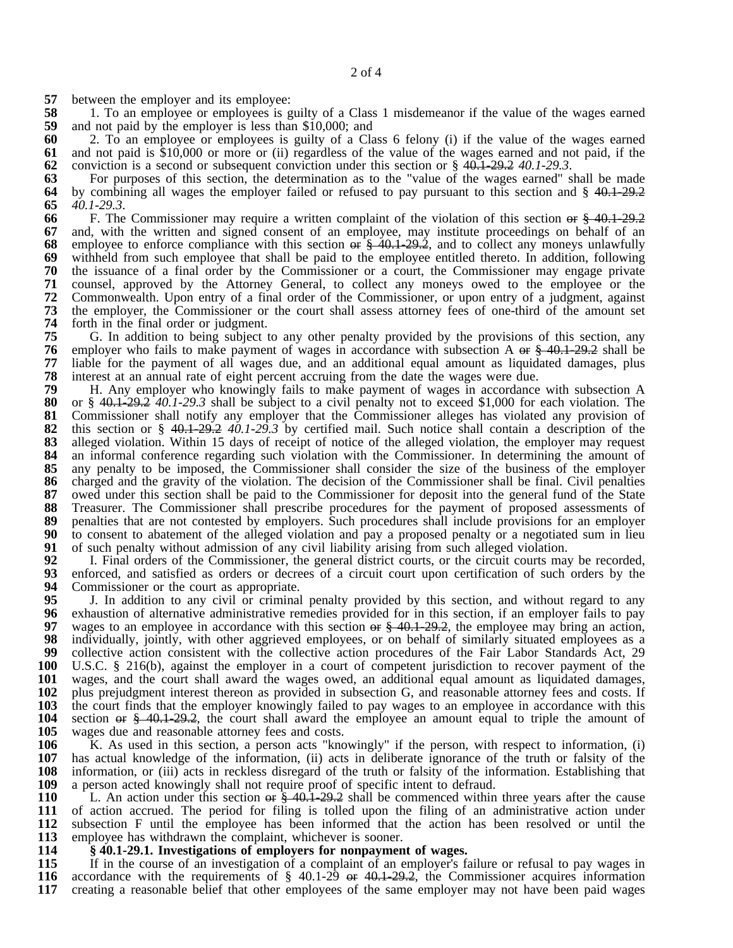**57** between the employer and its employee:<br>**58** 1. To an employee or employees is g

58 1. To an employee or employees is guilty of a Class 1 misdemeanor if the value of the wages earned 59 and not paid by the employer is less than \$10,000; and **59** and not paid by the employer is less than \$10,000; and **60** 2. To an employee or employees is guilty of a Cla

**60** 2. To an employee or employees is guilty of a Class 6 felony (i) if the value of the wages earned **61** and not paid is \$10,000 or more or (ii) regardless of the value of the wages earned and not paid, if the conviction is a second or subsequent conviction under this section or  $\frac{8}{3}$  40.1-29.2 40.1-29.3. **62** conviction is a second or subsequent conviction under this section or § 40.1-29.2 *40.1-29.3*.

**63** For purposes of this section, the determination as to the "value of the wages earned" shall be made **64** by combining all wages the employer failed or refused to pay pursuant to this section and § 40.1-29.2 **65** *40.1-29.3*.

 F. The Commissioner may require a written complaint of the violation of this section or  $\frac{240.1-29.2}{200}$  and, with the written and signed consent of an employee, may institute proceedings on behalf of an and, with the written and signed consent of an employee, may institute proceedings on behalf of an employee to enforce compliance with this section or  $\frac{1}{2}$  40.1–29.2, and to collect any moneys unlawfully employee to enforce compliance with this section or  $\frac{2}{5}$  40.1-29.2, and to collect any moneys unlawfully withheld from such employee that shall be paid to the employee entitled thereto. In addition, following withheld from such employee that shall be paid to the employee entitled thereto. In addition, following the issuance of a final order by the Commissioner or a court, the Commissioner may engage private counsel, approved by the Attorney General, to collect any moneys owed to the employee or the counsel, approved by the Attorney General, to collect any moneys owed to the employee or the 72 Commonwealth. Upon entry of a final order of the Commissioner, or upon entry of a judgment, against Commonwealth. Upon entry of a final order of the Commissioner, or upon entry of a judgment, against the employer, the Commissioner or the court shall assess attorney fees of one-third of the amount set **74** forth in the final order or judgment. forth in the final order or judgment.<br>**75** G. In addition to being subject t

 G. In addition to being subject to any other penalty provided by the provisions of this section, any **76** employer who fails to make payment of wages in accordance with subsection A or  $\frac{8}{3}$  40.1-29.2 shall be employer who fails to make payment of wages in accordance with subsection A  $\leftrightarrow$   $\frac{1}{29.2}$  shall be liable for the payment of all wages due, and an additional equal amount as liquidated damages, plus interest at an annual rate of eight percent accruing from the date the wages were due. interest at an annual rate of eight percent accruing from the date the wages were due.<br>**79** H. Any employer who knowingly fails to make payment of wages in accordance

**79** H. Any employer who knowingly fails to make payment of wages in accordance with subsection A **80** or § 40.1–29.2 40.1–29.3 shall be subject to a civil penalty not to exceed \$1,000 for each violation. The **80** or § 40.1-29.2 *40.1-29.3* shall be subject to a civil penalty not to exceed \$1,000 for each violation. The 81 Commissioner shall notify any employer that the Commissioner alleges has violated any provision of 82 this section or § 40.1-29.2 40.1-29.3 by certified mail. Such notice shall contain a description of the 82 this section or § 40.1-29.2 40.1-29.3 by certified mail. Such notice shall contain a description of the alleged violation. Within 15 days of receipt of notice of the alleged violation, the employer may request 83 alleged violation. Within 15 days of receipt of notice of the alleged violation, the employer may request an informal conference regarding such violation with the Commissioner. In determining the amount of 84 an informal conference regarding such violation with the Commissioner. In determining the amount of 85 any penalty to be imposed, the Commissioner shall consider the size of the business of the employer 85 any penalty to be imposed, the Commissioner shall consider the size of the business of the employer charged and the gravity of the violation. The decision of the Commissioner shall be final. Civil penalties 86 charged and the gravity of the violation. The decision of the Commissioner shall be final. Civil penalties owed under this section shall be paid to the Commissioner for deposit into the general fund of the State **87** owed under this section shall be paid to the Commissioner for deposit into the general fund of the State **88** Treasurer. The Commissioner shall prescribe procedures for the payment of proposed assessments of **89** penalties that are not contested by employers. Such procedures shall include provisions for an employer **90** to consent to abatement of the alleged violation and pay a proposed penalty or a negotiated sum in lieu of such penalty without admission of any civil liability arising from such alleged violation. **91** of such penalty without admission of any civil liability arising from such alleged violation.<br>**92** I. Final orders of the Commissioner, the general district courts, or the circuit courts may

1. Final orders of the Commissioner, the general district courts, or the circuit courts may be recorded, **93** enforced, and satisfied as orders or decrees of a circuit court upon certification of such orders by the **93** enforced, and satisfied as orders or decrees of a circuit court upon certification of such orders by the **94** Commissioner or the court as appropriate.<br>**95** I. In addition to any civil or criminal

 J. In addition to any civil or criminal penalty provided by this section, and without regard to any exhaustion of alternative administrative remedies provided for in this section, if an employer fails to pay wages to an employee in accordance with this section of  $\frac{1}{2}$ , the employee may bring an action. wages to an employee in accordance with this section or  $\frac{1}{2}$ , the employee may bring an action, **98** individually, jointly, with other aggrieved employees, or on behalf of similarly situated employees as a individually, jointly, with other aggrieved employees, or on behalf of similarly situated employees as a collective action consistent with the collective action procedures of the Fair Labor Standards Act. 29 collective action consistent with the collective action procedures of the Fair Labor Standards Act, 29 100 U.S.C. § 216(b), against the employer in a court of competent jurisdiction to recover payment of the U.S.C. § 216(b), against the employer in a court of competent jurisdiction to recover payment of the 101 wages, and the court shall award the wages owed, an additional equal amount as liquidated damages, 102 plus prejudgment interest thereon as provided in subsection G, and reasonable attorney fees and costs. If plus prejudgment interest thereon as provided in subsection G, and reasonable attorney fees and costs. If **103** the court finds that the employer knowingly failed to pay wages to an employee in accordance with this the court finds that the employer knowingly failed to pay wages to an employee in accordance with this **104** section of  $\frac{1}{2}$ , the court shall award the employee an amount equal to triple the amount of section or § 40.1-29.2, the court shall award the employee an amount equal to triple the amount of **105** wages due and reasonable attorney fees and costs. 105 wages due and reasonable attorney fees and costs.<br>106 K. As used in this section, a person acts "know"

 K. As used in this section, a person acts "knowingly" if the person, with respect to information, (i) has actual knowledge of the information, (ii) acts in deliberate ignorance of the truth or falsity of the 108 information, or (iii) acts in reckless disregard of the truth or falsity of the information. Establishing that 109 a person acted knowingly shall not require proof of specific intent to defraud. a person acted knowingly shall not require proof of specific intent to defraud.<br>**110** L. An action under this section of  $\frac{29.2}{29.2}$  shall be commenced within

**110** L. An action under this section or  $\frac{2}{5}$  40.1-29.2 shall be commenced within three years after the cause 111 of action accrued. The period for filing is tolled upon the filing of an administrative action under 111 of action accrued. The period for filing is tolled upon the filing of an administrative action under 112 subsection F until the employee has been informed that the action has been resolved or until the 112 subsection F until the employee has been informed that the action has been resolved or until the employee has withdrawn the complaint, whichever is sooner. **113** employee has withdrawn the complaint, whichever is sooner.<br>**114** § 40.1-29.1. Investigations of employers for nonpaymen

# **114 § 40.1-29.1. Investigations of employers for nonpayment of wages.**

**115** If in the course of an investigation of a complaint of an employer's failure or refusal to pay wages in **116** accordance with the requirements of § 40.1-29 or 40.1-29.2, the Commissioner acquires information **116** accordance with the requirements of § 40.1-29 or 40.1-29.2, the Commissioner acquires information creating a reasonable belief that other employees of the same employer may not have been paid wages **117** creating a reasonable belief that other employees of the same employer may not have been paid wages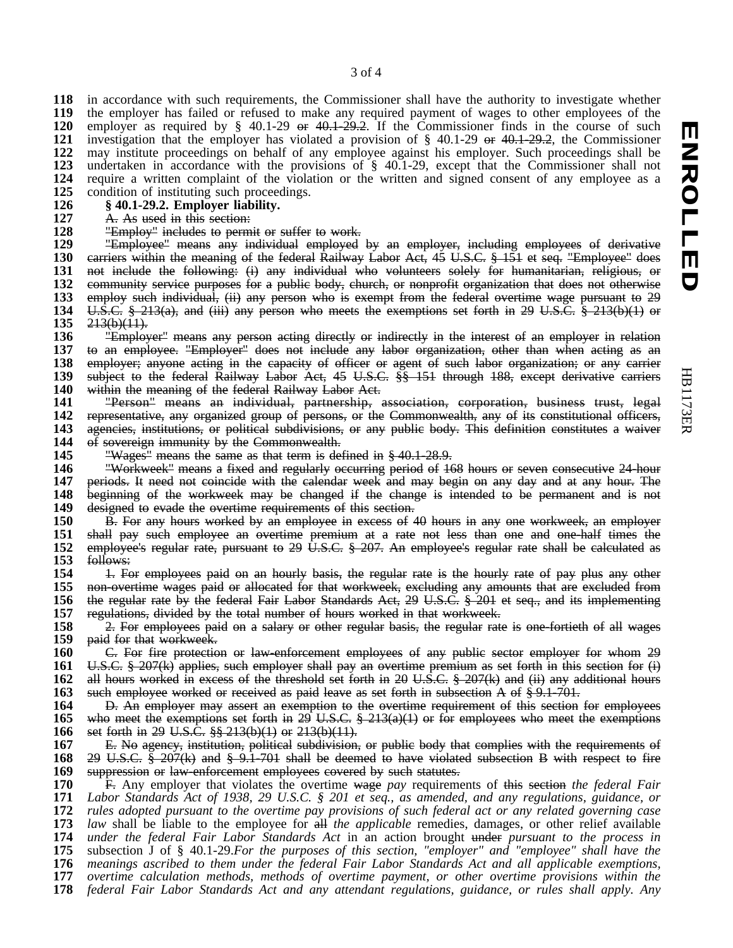HB1173ER

**HB1173ER** 

 in accordance with such requirements, the Commissioner shall have the authority to investigate whether the employer has failed or refused to make any required payment of wages to other employees of the employer as required by § 40.1-29 or 40.1-29.2. If the Commissioner finds in the course of such **121** investigation that the employer has violated a provision of § 40.1-29 or 40.1-29.2, the Commissioner investigation that the employer has violated a provision of § 40.1-29 or 40.1-29.2, the Commissioner 122 may institute proceedings on behalf of any employee against his employer. Such proceedings shall be may institute proceedings on behalf of any employee against his employer. Such proceedings shall be undertaken in accordance with the provisions of § 40.1-29, except that the Commissioner shall not undertaken in accordance with the provisions of § 40.1-29, except that the Commissioner shall not **124** require a written complaint of the violation or the written and signed consent of any employee as a require a written complaint of the violation or the written and signed consent of any employee as a **125** condition of instituting such proceedings. condition of instituting such proceedings.

 **§ 40.1-29.2. Employer liability.** 127 A. As used in this section:<br>128 Employ includes to perm

"Employ" includes to permit or suffer to work.

 "Employee" means any individual employed by an employer, including employees of derivative carriers within the meaning of the federal Railway Labor Act, 45 U.S.C. § 151 et seq. "Employee" does not include the following: (i) any individual who volunteers solely for humanitarian, religious, or 132 community service purposes for a public body, church, or nonprofit organization that does not otherwise<br>133 employ such individual, (ii) any person who is exempt from the federal overtime wage pursuant to 29 employ such individual, (ii) any person who is exempt from the federal overtime wage pursuant to 29 **134** U.S.C. § 213(a), and (iii) any person who meets the exemptions set forth in 29 U.S.C. § 213(b)(1) or U.S.C. § 213(a), and (iii) any person who meets the exemptions set forth in 29 U.S.C. § 213(b)(1) or 213(b)(11).<br>**136** <del>"Employ"</del>

 "Employer" means any person acting directly or indirectly in the interest of an employer in relation to an employee. "Employer" does not include any labor organization, other than when acting as an employer; anyone acting in the capacity of officer or agent of such labor organization; or any carrier subject to the federal Railway Labor Act, 45 U.S.C. §§ 151 through 188, except derivative carriers within the meaning of the federal Railway Labor Act.

 "Person" means an individual, partnership, association, corporation, business trust, legal representative, any organized group of persons, or the Commonwealth, any of its constitutional officers, agencies, institutions, or political subdivisions, or any public body. This definition constitutes a waiver of sovereign immunity by the Commonwealth.<br>**145** "Wages" means the same as that term is de-

**145** "Wages" means the same as that term is defined in § 40.1–28.9.<br>**146** "Workweek" means a fixed and regularly occurring period of 16

 "Workweek" means a fixed and regularly occurring period of 168 hours or seven consecutive 24-hour periods. It need not coincide with the calendar week and may begin on any day and at any hour. The beginning of the workweek may be changed if the change is intended to be permanent and is not designed to evade the overtime requirements of this section.<br>**150** B. For any hours worked by an employee in excess of 4

150 B. For any hours worked by an employee in excess of 40 hours in any one workweek, an employer 151 shall pay such employee an overtime premium at a rate not less than one and one-half times the shall pay such employee an overtime premium at a rate not less than one and one-half times the employee's regular rate, pursuant to 29 U.S.C. § 207. An employee's regular rate shall be calculated as 153 follows:<br>154 <del>1.</del> Fe

 1. For employees paid on an hourly basis, the regular rate is the hourly rate of pay plus any other non-overtime wages paid or allocated for that workweek, excluding any amounts that are excluded from the regular rate by the federal Fair Labor Standards Act, 29 U.S.C. § 201 et seq., and its implementing regulations, divided by the total number of hours worked in that workweek.<br>**158** 2. For employees paid on a salary or other regular basis, the regular rate

 2. For employees paid on a salary or other regular basis, the regular rate is one-fortieth of all wages paid for that workweek.

 C. For fire protection or law-enforcement employees of any public sector employer for whom 29 U.S.C. § 207(k) applies, such employer shall pay an overtime premium as set forth in this section for (i) all hours worked in excess of the threshold set forth in 20 U.S.C. § 207(k) and (ii) any additional hours **163** such employee worked or received as paid leave as set forth in subsection A of § 9.1–701. such employee worked or received as paid leave as set forth in subsection A of § 9.1-701.<br>**164** D. An employer may assert an exemption to the overtime requirement of this section

164 D. An employer may assert an exemption to the overtime requirement of this section for employees who meet the exemptions set forth in 29 U.S.C.  $\frac{1}{2}$  213(a)(1) or for employees who meet the exemptions who meet the exemptions set forth in  $29 \text{ U.S.C. }$   $\frac{6}{5}$   $213(a)(1)$  or for employees who meet the exemptions set forth in 29 U.S.C. §§ 213(b)(1) or 213(b)(11).

 E. No agency, institution, political subdivision, or public body that complies with the requirements of **168** 29 U.S.C.  $\frac{5}{5}$  207(k) and  $\frac{5}{5}$  9.1-701 shall be deemed to have violated subsection B with respect to fire **169** suppression or law enforcement employees covered by such statutes. **169** suppression or law-enforcement employees covered by such statutes.<br>**170** E. Any employer that violates the overtime wage *pay* requirement

 F. Any employer that violates the overtime wage *pay* requirements of this section *the federal Fair* 171 Labor Standards Act of 1938, 29 U.S.C. § 201 et seq., as amended, and any regulations, guidance, or<br>172 rules adopted pursuant to the overtime pay provisions of such federal act or any related governing case rules adopted pursuant to the overtime pay provisions of such federal act or any related governing case *law* shall be liable to the employee for all *the applicable* remedies, damages, or other relief available *under the federal Fair Labor Standards Act* in an action brought under *pursuant to the process in* **175** subsection J of § 40.1-29. For the *purposes of this section, "employer" and "employee" shall have the*  subsection J of § 40.1-29.*For the purposes of this section, "employer" and "employee" shall have the meanings ascribed to them under the federal Fair Labor Standards Act and all applicable exemptions, overtime calculation methods, methods of overtime payment, or other overtime provisions within the federal Fair Labor Standards Act and any attendant regulations, guidance, or rules shall apply. Any*